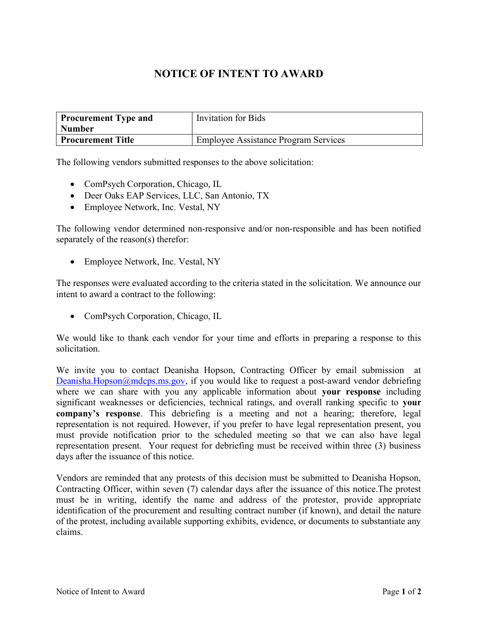## NOTICE OF INTENT TO AWARD

| <b>Procurement Type and</b> | <b>Invitation for Bids</b>                  |
|-----------------------------|---------------------------------------------|
| <b>Number</b>               |                                             |
| <b>Procurement Title</b>    | <b>Employee Assistance Program Services</b> |

The following vendors submitted responses to the above solicitation:

- ComPsych Corporation, Chicago, IL
- Deer Oaks EAP Services, LLC, San Antonio, TX
- Employee Network, Inc. Vestal, NY

The following vendor determined non-responsive and/or non-responsible and has been notified separately of the reason(s) therefor:

• Employee Network, Inc. Vestal, NY

The responses were evaluated according to the criteria stated in the solicitation. We announce our intent to award a contract to the following:

• ComPsych Corporation, Chicago, IL

We would like to thank each vendor for your time and efforts in preparing a response to this solicitation.

We invite you to contact Deanisha Hopson, Contracting Officer by email submission at Deanisha.Hopson@mdcps.ms.gov, if you would like to request a post-award vendor debriefing where we can share with you any applicable information about your response including significant weaknesses or deficiencies, technical ratings, and overall ranking specific to your company's response. This debriefing is a meeting and not a hearing; therefore, legal representation is not required. However, if you prefer to have legal representation present, you must provide notification prior to the scheduled meeting so that we can also have legal representation present. Your request for debriefing must be received within three (3) business days after the issuance of this notice.

Vendors are reminded that any protests of this decision must be submitted to Deanisha Hopson, Contracting Officer, within seven (7) calendar days after the issuance of this notice.The protest must be in writing, identify the name and address of the protestor, provide appropriate identification of the procurement and resulting contract number (if known), and detail the nature of the protest, including available supporting exhibits, evidence, or documents to substantiate any claims.